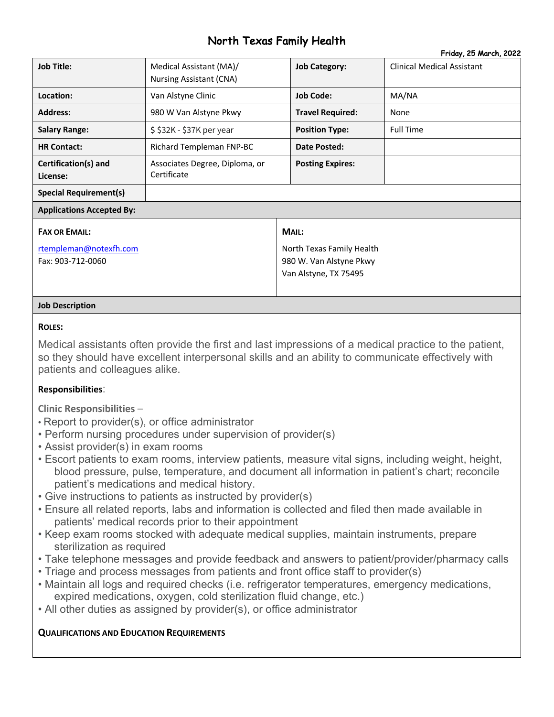# North Texas Family Health Friday, 25 March 2022

|                                  |                                                           |                         | Friday, 20 March, 2022            |  |  |
|----------------------------------|-----------------------------------------------------------|-------------------------|-----------------------------------|--|--|
| <b>Job Title:</b>                | Medical Assistant (MA)/<br><b>Nursing Assistant (CNA)</b> | <b>Job Category:</b>    | <b>Clinical Medical Assistant</b> |  |  |
| Location:                        | Van Alstyne Clinic                                        | <b>Job Code:</b>        | MA/NA                             |  |  |
| <b>Address:</b>                  | 980 W Van Alstyne Pkwy                                    | <b>Travel Required:</b> | None                              |  |  |
| <b>Salary Range:</b>             | $$32K - $37K$ per year                                    | <b>Position Type:</b>   | <b>Full Time</b>                  |  |  |
| <b>HR Contact:</b>               | Richard Templeman FNP-BC                                  | Date Posted:            |                                   |  |  |
| Certification(s) and<br>License: | Associates Degree, Diploma, or<br>Certificate             | <b>Posting Expires:</b> |                                   |  |  |
| <b>Special Requirement(s)</b>    |                                                           |                         |                                   |  |  |
| <b>Applications Accepted By:</b> |                                                           |                         |                                   |  |  |
| <b>FAX OR EMAIL:</b>             |                                                           | MAIL:                   |                                   |  |  |
|                                  |                                                           |                         |                                   |  |  |

rtempleman@notexfh.com Fax: 903-712-0060

North Texas Family Health 980 W. Van Alstyne Pkwy Van Alstyne, TX 75495

#### **Job Description**

#### **ROLES:**

Medical assistants often provide the first and last impressions of a medical practice to the patient, so they should have excellent interpersonal skills and an ability to communicate effectively with patients and colleagues alike.

### **Responsibilities**:

**Clinic Responsibilities** –

- Report to provider(s), or office administrator
- Perform nursing procedures under supervision of provider(s)
- Assist provider(s) in exam rooms
- Escort patients to exam rooms, interview patients, measure vital signs, including weight, height, blood pressure, pulse, temperature, and document all information in patient's chart; reconcile patient's medications and medical history.
- Give instructions to patients as instructed by provider(s)
- Ensure all related reports, labs and information is collected and filed then made available in patients' medical records prior to their appointment
- Keep exam rooms stocked with adequate medical supplies, maintain instruments, prepare sterilization as required
- Take telephone messages and provide feedback and answers to patient/provider/pharmacy calls
- Triage and process messages from patients and front office staff to provider(s)
- Maintain all logs and required checks (i.e. refrigerator temperatures, emergency medications, expired medications, oxygen, cold sterilization fluid change, etc.)
- All other duties as assigned by provider(s), or office administrator

### **QUALIFICATIONS AND EDUCATION REQUIREMENTS**